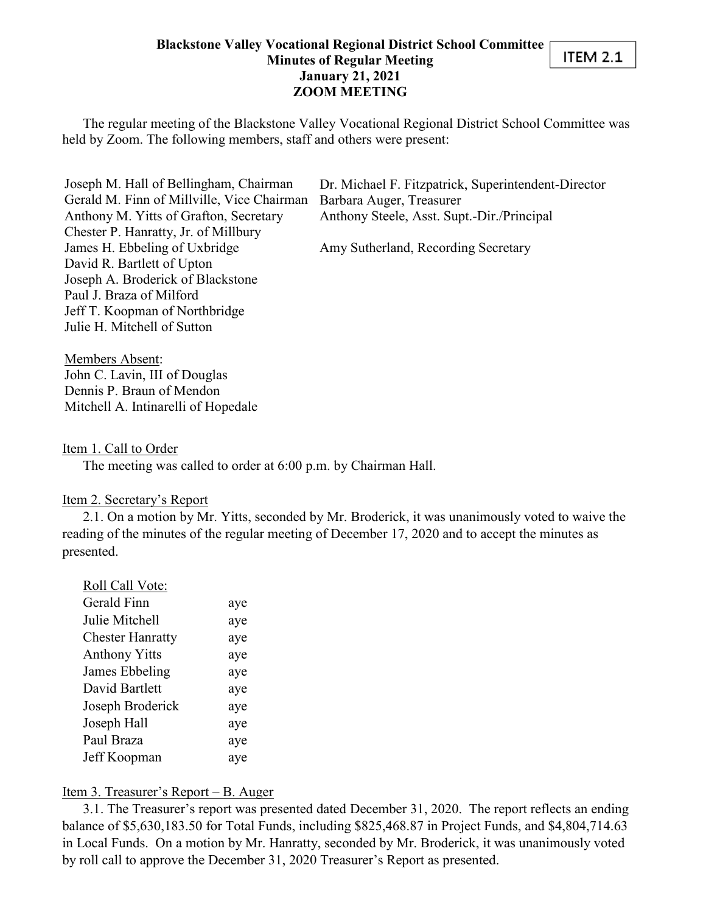#### **Blackstone Valley Vocational Regional District School Committee Minutes of Regular Meeting January 21, 2021 ZOOM MEETING**

The regular meeting of the Blackstone Valley Vocational Regional District School Committee was held by Zoom. The following members, staff and others were present:

Joseph M. Hall of Bellingham, Chairman Gerald M. Finn of Millville, Vice Chairman Anthony M. Yitts of Grafton, Secretary Chester P. Hanratty, Jr. of Millbury James H. Ebbeling of Uxbridge David R. Bartlett of Upton Joseph A. Broderick of Blackstone Paul J. Braza of Milford Jeff T. Koopman of Northbridge Julie H. Mitchell of Sutton

Dr. Michael F. Fitzpatrick, Superintendent-Director Barbara Auger, Treasurer Anthony Steele, Asst. Supt.-Dir./Principal

**ITEM 2.1** 

Amy Sutherland, Recording Secretary

Members Absent: John C. Lavin, III of Douglas Dennis P. Braun of Mendon Mitchell A. Intinarelli of Hopedale

#### Item 1. Call to Order

The meeting was called to order at 6:00 p.m. by Chairman Hall.

#### Item 2. Secretary's Report

2.1. On a motion by Mr. Yitts, seconded by Mr. Broderick, it was unanimously voted to waive the reading of the minutes of the regular meeting of December 17, 2020 and to accept the minutes as presented.

| Roll Call Vote:         |     |
|-------------------------|-----|
| Gerald Finn             | aye |
| Julie Mitchell          | aye |
| <b>Chester Hanratty</b> | aye |
| <b>Anthony Yitts</b>    | aye |
| James Ebbeling          | aye |
| David Bartlett          | aye |
| Joseph Broderick        | aye |
| Joseph Hall             | aye |
| Paul Braza              | aye |
| Jeff Koopman            | aye |

#### Item 3. Treasurer's Report – B. Auger

3.1. The Treasurer's report was presented dated December 31, 2020. The report reflects an ending balance of \$5,630,183.50 for Total Funds, including \$825,468.87 in Project Funds, and \$4,804,714.63 in Local Funds. On a motion by Mr. Hanratty, seconded by Mr. Broderick, it was unanimously voted by roll call to approve the December 31, 2020 Treasurer's Report as presented.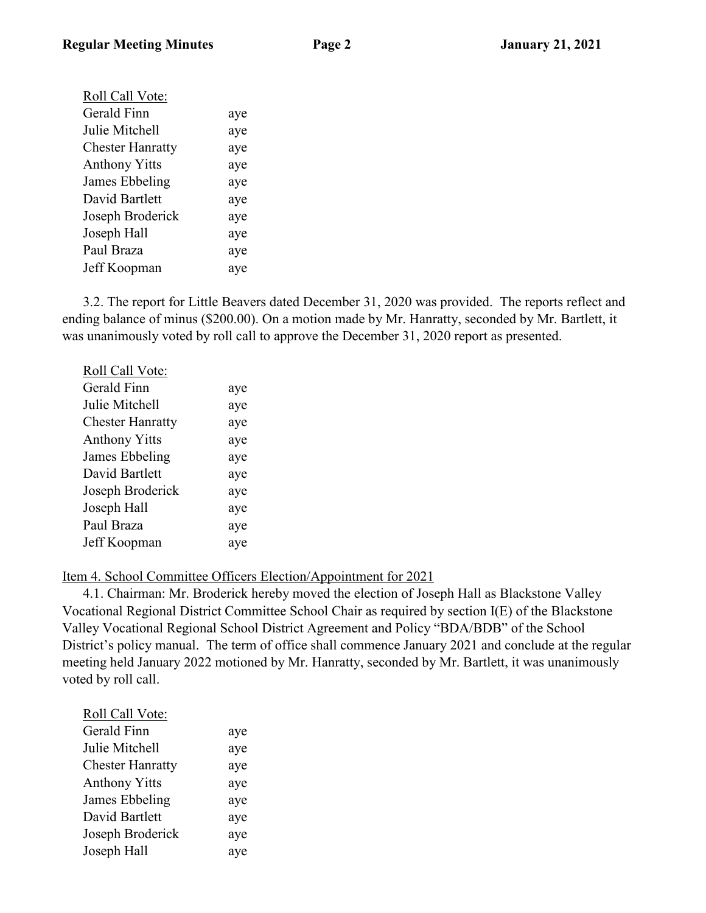| . в |  |
|-----|--|
|-----|--|

| Roll Call Vote:         |     |
|-------------------------|-----|
| Gerald Finn             | aye |
| Julie Mitchell          | aye |
| <b>Chester Hanratty</b> | aye |
| <b>Anthony Yitts</b>    | aye |
| James Ebbeling          | aye |
| David Bartlett          | aye |
| Joseph Broderick        | aye |
| Joseph Hall             | aye |
| Paul Braza              | aye |
| Jeff Koopman            | aye |
|                         |     |

3.2. The report for Little Beavers dated December 31, 2020 was provided. The reports reflect and ending balance of minus (\$200.00). On a motion made by Mr. Hanratty, seconded by Mr. Bartlett, it was unanimously voted by roll call to approve the December 31, 2020 report as presented.

| Roll Call Vote:         |     |
|-------------------------|-----|
| Gerald Finn             | aye |
| Julie Mitchell          | aye |
| <b>Chester Hanratty</b> | aye |
| <b>Anthony Yitts</b>    | aye |
| James Ebbeling          | aye |
| David Bartlett          | aye |
| Joseph Broderick        | aye |
| Joseph Hall             | aye |
| Paul Braza              | aye |
| Jeff Koopman            | aye |
|                         |     |

#### Item 4. School Committee Officers Election/Appointment for 2021

4.1. Chairman: Mr. Broderick hereby moved the election of Joseph Hall as Blackstone Valley Vocational Regional District Committee School Chair as required by section I(E) of the Blackstone Valley Vocational Regional School District Agreement and Policy "BDA/BDB" of the School District's policy manual. The term of office shall commence January 2021 and conclude at the regular meeting held January 2022 motioned by Mr. Hanratty, seconded by Mr. Bartlett, it was unanimously voted by roll call.

| Roll Call Vote:         |     |
|-------------------------|-----|
| Gerald Finn             | aye |
| Julie Mitchell          | aye |
| <b>Chester Hanratty</b> | aye |
| <b>Anthony Yitts</b>    | aye |
| James Ebbeling          | aye |
| David Bartlett          | aye |
| Joseph Broderick        | aye |
| Joseph Hall             | aye |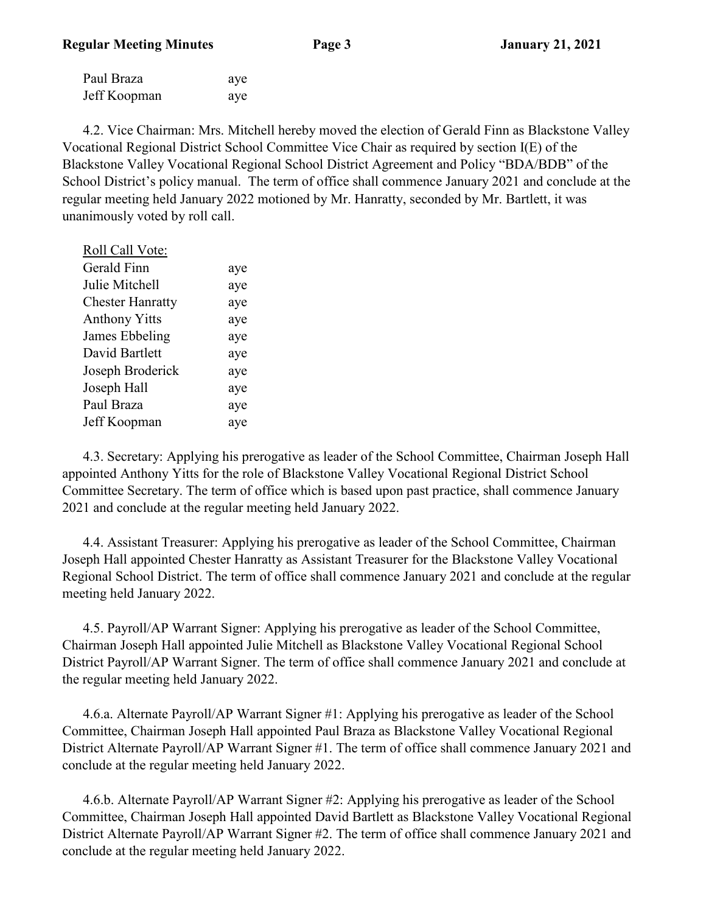| Paul Braza   | aye |
|--------------|-----|
| Jeff Koopman | aye |

4.2. Vice Chairman: Mrs. Mitchell hereby moved the election of Gerald Finn as Blackstone Valley Vocational Regional District School Committee Vice Chair as required by section I(E) of the Blackstone Valley Vocational Regional School District Agreement and Policy "BDA/BDB" of the School District's policy manual. The term of office shall commence January 2021 and conclude at the regular meeting held January 2022 motioned by Mr. Hanratty, seconded by Mr. Bartlett, it was unanimously voted by roll call.

| Roll Call Vote:         |     |
|-------------------------|-----|
| Gerald Finn             | aye |
| Julie Mitchell          | aye |
| <b>Chester Hanratty</b> | aye |
| <b>Anthony Yitts</b>    | aye |
| James Ebbeling          | aye |
| David Bartlett          | aye |
| Joseph Broderick        | aye |
| Joseph Hall             | aye |
| Paul Braza              | aye |
| Jeff Koopman            | aye |

4.3. Secretary: Applying his prerogative as leader of the School Committee, Chairman Joseph Hall appointed Anthony Yitts for the role of Blackstone Valley Vocational Regional District School Committee Secretary. The term of office which is based upon past practice, shall commence January 2021 and conclude at the regular meeting held January 2022.

4.4. Assistant Treasurer: Applying his prerogative as leader of the School Committee, Chairman Joseph Hall appointed Chester Hanratty as Assistant Treasurer for the Blackstone Valley Vocational Regional School District. The term of office shall commence January 2021 and conclude at the regular meeting held January 2022.

4.5. Payroll/AP Warrant Signer: Applying his prerogative as leader of the School Committee, Chairman Joseph Hall appointed Julie Mitchell as Blackstone Valley Vocational Regional School District Payroll/AP Warrant Signer. The term of office shall commence January 2021 and conclude at the regular meeting held January 2022.

4.6.a. Alternate Payroll/AP Warrant Signer #1: Applying his prerogative as leader of the School Committee, Chairman Joseph Hall appointed Paul Braza as Blackstone Valley Vocational Regional District Alternate Payroll/AP Warrant Signer #1. The term of office shall commence January 2021 and conclude at the regular meeting held January 2022.

4.6.b. Alternate Payroll/AP Warrant Signer #2: Applying his prerogative as leader of the School Committee, Chairman Joseph Hall appointed David Bartlett as Blackstone Valley Vocational Regional District Alternate Payroll/AP Warrant Signer #2. The term of office shall commence January 2021 and conclude at the regular meeting held January 2022.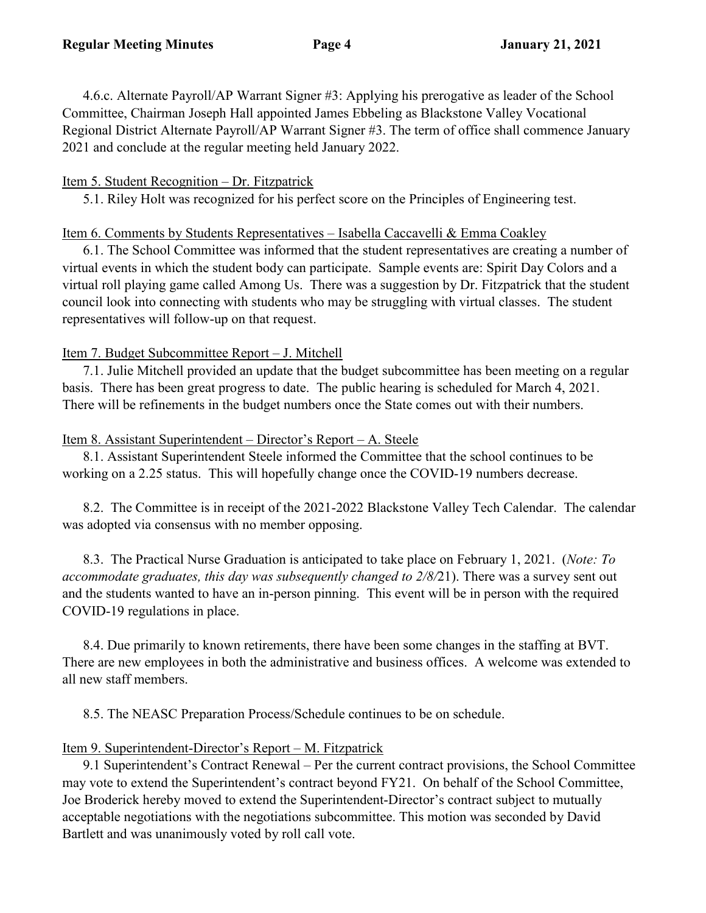4.6.c. Alternate Payroll/AP Warrant Signer #3: Applying his prerogative as leader of the School Committee, Chairman Joseph Hall appointed James Ebbeling as Blackstone Valley Vocational Regional District Alternate Payroll/AP Warrant Signer #3. The term of office shall commence January 2021 and conclude at the regular meeting held January 2022.

### Item 5. Student Recognition – Dr. Fitzpatrick

5.1. Riley Holt was recognized for his perfect score on the Principles of Engineering test.

### Item 6. Comments by Students Representatives – Isabella Caccavelli & Emma Coakley

6.1. The School Committee was informed that the student representatives are creating a number of virtual events in which the student body can participate. Sample events are: Spirit Day Colors and a virtual roll playing game called Among Us. There was a suggestion by Dr. Fitzpatrick that the student council look into connecting with students who may be struggling with virtual classes. The student representatives will follow-up on that request.

## Item 7. Budget Subcommittee Report – J. Mitchell

7.1. Julie Mitchell provided an update that the budget subcommittee has been meeting on a regular basis. There has been great progress to date. The public hearing is scheduled for March 4, 2021. There will be refinements in the budget numbers once the State comes out with their numbers.

### Item 8. Assistant Superintendent – Director's Report – A. Steele

8.1. Assistant Superintendent Steele informed the Committee that the school continues to be working on a 2.25 status. This will hopefully change once the COVID-19 numbers decrease.

8.2. The Committee is in receipt of the 2021-2022 Blackstone Valley Tech Calendar. The calendar was adopted via consensus with no member opposing.

8.3. The Practical Nurse Graduation is anticipated to take place on February 1, 2021. (*Note: To accommodate graduates, this day was subsequently changed to 2/8/*21). There was a survey sent out and the students wanted to have an in-person pinning. This event will be in person with the required COVID-19 regulations in place.

8.4. Due primarily to known retirements, there have been some changes in the staffing at BVT. There are new employees in both the administrative and business offices. A welcome was extended to all new staff members.

8.5. The NEASC Preparation Process/Schedule continues to be on schedule.

## Item 9. Superintendent-Director's Report – M. Fitzpatrick

9.1 Superintendent's Contract Renewal – Per the current contract provisions, the School Committee may vote to extend the Superintendent's contract beyond FY21. On behalf of the School Committee, Joe Broderick hereby moved to extend the Superintendent-Director's contract subject to mutually acceptable negotiations with the negotiations subcommittee. This motion was seconded by David Bartlett and was unanimously voted by roll call vote.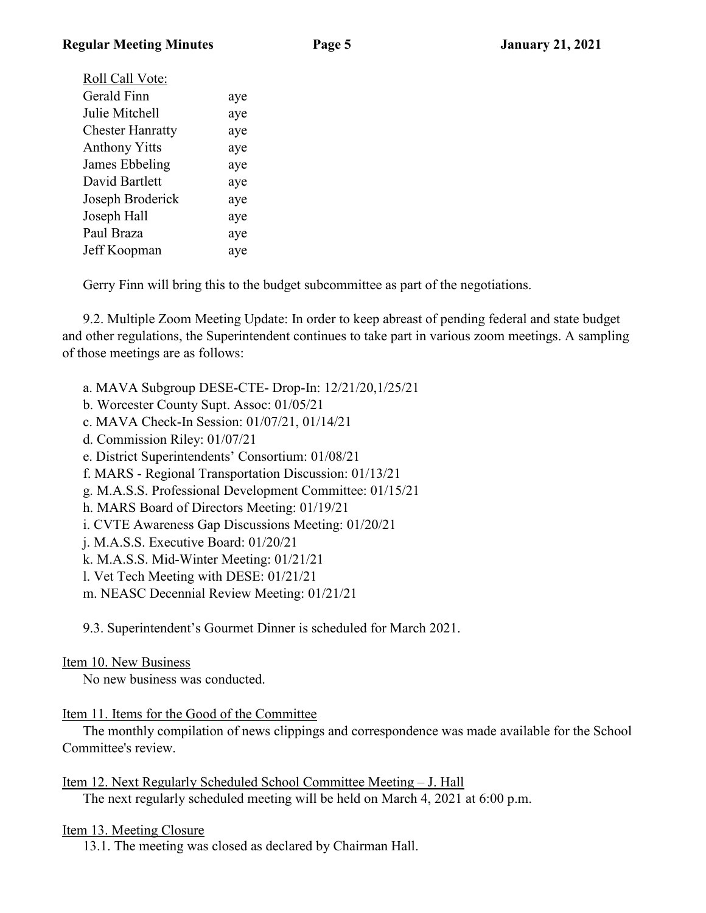| Roll Call Vote:         |     |
|-------------------------|-----|
| Gerald Finn             | aye |
| Julie Mitchell          | aye |
| <b>Chester Hanratty</b> | aye |
| <b>Anthony Yitts</b>    | aye |
| James Ebbeling          | aye |
| David Bartlett          | aye |
| Joseph Broderick        | aye |
| Joseph Hall             | aye |
| Paul Braza              | aye |
| Jeff Koopman            | aye |
|                         |     |

Gerry Finn will bring this to the budget subcommittee as part of the negotiations.

9.2. Multiple Zoom Meeting Update: In order to keep abreast of pending federal and state budget and other regulations, the Superintendent continues to take part in various zoom meetings. A sampling of those meetings are as follows:

- a. MAVA Subgroup DESE-CTE- Drop-In: 12/21/20,1/25/21
- b. Worcester County Supt. Assoc: 01/05/21
- c. MAVA Check-In Session: 01/07/21, 01/14/21
- d. Commission Riley: 01/07/21
- e. District Superintendents' Consortium: 01/08/21
- f. MARS Regional Transportation Discussion: 01/13/21
- g. M.A.S.S. Professional Development Committee: 01/15/21
- h. MARS Board of Directors Meeting: 01/19/21
- i. CVTE Awareness Gap Discussions Meeting: 01/20/21
- j. M.A.S.S. Executive Board: 01/20/21
- k. M.A.S.S. Mid-Winter Meeting: 01/21/21
- l. Vet Tech Meeting with DESE: 01/21/21
- m. NEASC Decennial Review Meeting: 01/21/21

9.3. Superintendent's Gourmet Dinner is scheduled for March 2021.

## Item 10. New Business

No new business was conducted.

# Item 11. Items for the Good of the Committee

The monthly compilation of news clippings and correspondence was made available for the School Committee's review.

Item 12. Next Regularly Scheduled School Committee Meeting – J. Hall The next regularly scheduled meeting will be held on March 4, 2021 at 6:00 p.m.

# Item 13. Meeting Closure

13.1. The meeting was closed as declared by Chairman Hall.